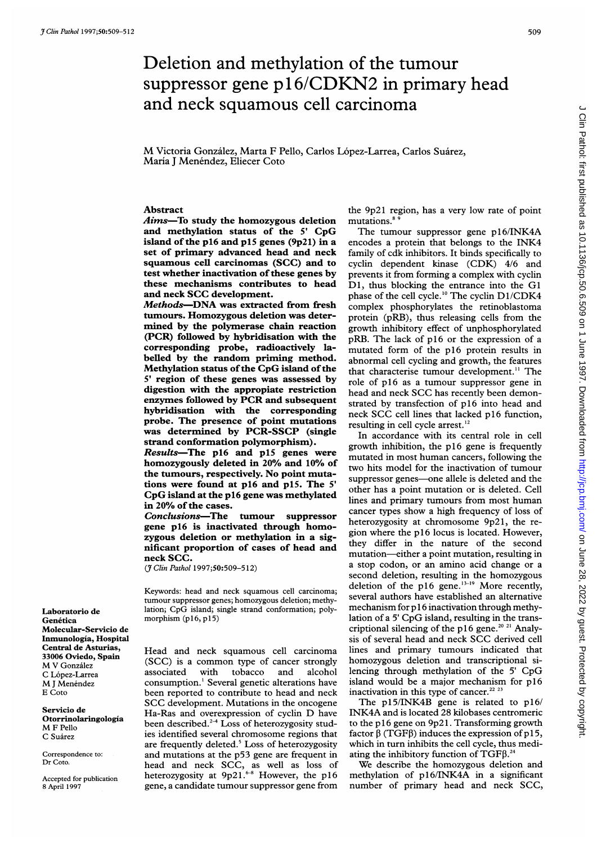# Deletion and methylation of the tumour suppressor gene p16/CDKN2 in primary head and neck squamous cell carcinoma

M Victoria González, Marta F Pello, Carlos López-Larrea, Carlos Suárez, María J Menéndez, Eliecer Coto

#### Abstract

Aims-To study the homozygous deletion and methylation status of the <sup>5</sup>' CpG island of the p16 and p15 genes (9p2l) in a set of primary advanced head and neck squamous cell carcinomas (SCC) and to test whether inactivation of these genes by these mechanisms contributes to head and neck SCC development.

Methods-DNA was extracted from fresh tumours. Homozygous deletion was determined by the polymerase chain reaction (PCR) followed by hybridisation with the corresponding probe, radioactively labelled by the random priming method. Methylation status of the CpG island of the <sup>5</sup>' region of these genes was assessed by digestion with the appropiate restriction enzymes followed by PCR and subsequent hybridisation with the corresponding probe. The presence of point mutations was determined by PCR-SSCP (single strand conformation polymorphism).

Results-The p16 and p15 genes were homozygously deleted in 20% and 10% of the tumours, respectively. No point mutations were found at p16 and p15. The <sup>5</sup>' CpG island at the p16 gene was methylated in 20% of the cases.

Conclusions-The tumour suppressor gene p16 is inactivated through homozygous deletion or methylation in a significant proportion of cases of head and neck SCC.

( Clin Pathol 1997;50:509-512)

Keywords: head and neck squamous cell carcinoma; tumour suppressor genes; homozygous deletion; methylation; CpG island; single strand conformation; polymorphism (p16, p15)

Head and neck squamous cell carcinoma (SCC) is <sup>a</sup> common type of cancer strongly associated with tobacco and alcohol consumption.' Several genetic alterations have been reported to contribute to head and neck SCC development. Mutations in the oncogene Ha-Ras and overexpression of cyclin D have been described.<sup>2-4</sup> Loss of heterozygosity studies identified several chromosome regions that are frequently deleted.<sup>5</sup> Loss of heterozygosity and mutations at the p53 gene are frequent in head and neck SCC, as well as loss of heterozygosity at 9p21.<sup>8-8</sup> However, the p16 gene, a candidate tumour suppressor gene from

the 9p21 region, has a very low rate of point mutations."

The tumour suppressor gene p16/INK4A encodes <sup>a</sup> protein that belongs to the INK4 family of cdk inhibitors. It binds specifically to cyclin dependent kinase (CDK) 4/6 and prevents it from forming a complex with cyclin DI, thus blocking the entrance into the Gl phase of the cell cycle.<sup>10</sup> The cyclin D1/CDK4 complex phosphorylates the retinoblastoma protein (pRB), thus releasing cells from the growth inhibitory effect of unphosphorylated pRB. The lack of p16 or the expression of a mutated form of the p16 protein results in abnormal cell cycling and growth, the features that characterise tumour development.<sup>11</sup> The role of p16 as a tumour suppressor gene in head and neck SCC has recently been demonstrated by transfection of p16 into head and neck SCC cell lines that lacked p16 function, resulting in cell cycle arrest.'2

In accordance with its central role in cell growth inhibition, the p16 gene is frequently mutated in most human cancers, following the two hits model for the inactivation of tumour suppressor genes-one allele is deleted and the other has a point mutation or is deleted. Cell lines and primary tumours from most human cancer types show a high frequency of loss of heterozygosity at chromosome 9p2l, the region where the p16 locus is located. However, they differ in the nature of the second mutation-either a point mutation, resulting in a stop codon, or an amino acid change or a second deletion, resulting in the homozygous deletion of the p16 gene. $13-19$  More recently, several authors have established an alternative mechanism for p 16 inactivation through methylation of <sup>a</sup> <sup>5</sup>' CpG island, resulting in the transcriptional silencing of the p16 gene.<sup>20 21</sup> Analysis of several head and neck SCC derived cell lines and primary tumours indicated that homozygous deletion and transcriptional silencing through methylation of the <sup>5</sup>' CpG island would be a major mechanism for p16 inactivation in this type of cancer.<sup>22 2</sup>

The  $p15/INK4B$  gene is related to  $p16/$ INK4A and is located 28 kilobases centromeric to the p16 gene on 9p21. Transforming growth factor  $\beta$  (TGF $\beta$ ) induces the expression of p15, which in turn inhibits the cell cycle, thus mediating the inhibitory function of  $TGF\beta$ .<sup>24</sup>

We describe the homozygous deletion and methylation of p16/INK4A in a significant number of primary head and neck SCC,

Laboratorio de Genética Molecular-Servicio de Inmunologia, Hospital Central de Asturias, 33006 Oviedo, Spain M V Gonzalez C L6pez-Larrea M J Menéndez E Coto

Servicio de Otorrinolaringologia M <sup>F</sup> Pello C Suarez

Correspondence to: Dr Coto.

Accepted for publication 8 April 1997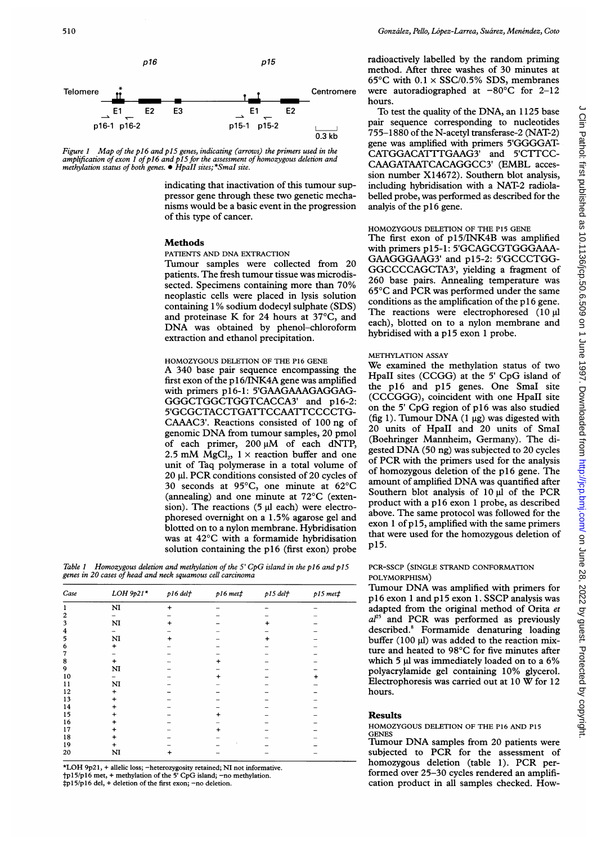

Figure 1 Map of the p16 and p15 genes, indicating (arrows) the primers used in the amplification of exon 1 of p16 and p15 for the assessment of homozygous delet<br>methylation status of both genes. ● HpaII sites;\*SmaI site.

indicating that inactivation of this tumour suppressor gene through these two genetic mechanisms would be a basic event in the of this type of cancer.

#### **Methods**

PATIENTS AND DNA EXTRACTION

Tumour samples were collected from 20 patients. The fresh tumour tissue was microdissected. Specimens containing more neoplastic cells were placed in lysis solution containing 1% sodium dodecyl sulphate (SDS) and proteinase K for 24 hours at 37°C, and DNA was obtained by phenol-chloroform extraction and ethanol precipitatior

HOMOZYGOUS DELETION OF THE P16 GENE A 340 base pair sequence encompassing the first exon of the p 16/INK4A gene was amplified with primers p16-1: 5'GAAGAAAGAGGAG-GGGCTGGCTGGTCACCA3' and p16-2: 5'GCGCTACCTGATTCCAATTCCCCTG-CAAAC3'. Reactions consisted of 100 ng of genomic DNA from tumour samples, <sup>20</sup> pmol of each primer,  $200 \mu M$  of each dNTP, 2.5 mM MgCl<sub>2</sub>,  $1 \times$  reaction buffer and one unit of Taq polymerase in a total volume of 20 gl. PCR conditions consisted of <sup>20</sup> cycles of 30 seconds at 95°C, one minute at 62°C (annealing) and one minute at 72°C (extension). The reactions  $(5 \mu l \text{ each})$  were electrophoresed overnight on a 1.5% agarose gel and blotted on to a nylon membrane. Hybridisation was at 42°C with a formamide hybridisation solution containing the p16 (first exon) probe

Table 1 Homozygous deletion and methylation of the 5' CpG island in the p16 and p15 genes in 20 cases of head and neck squamous cell carcinoma

| Case                    | $LOH$ 9p21*    | p16 delt | p16 met | $p15$ del $f$ | $p15 met$ # |
|-------------------------|----------------|----------|---------|---------------|-------------|
| 1                       | N <sub>I</sub> | +        |         |               |             |
| $\overline{\mathbf{c}}$ |                |          |         |               |             |
| $\overline{\mathbf{3}}$ | N <sub>I</sub> | +        |         |               |             |
| 4                       |                |          |         |               |             |
| 5                       | N <sub>I</sub> |          |         |               |             |
| 6                       | $\ddot{}$      |          |         |               |             |
| 7                       |                |          |         |               |             |
| 8                       | $\ddot{}$      |          |         |               |             |
| 9                       | N <sub>I</sub> |          |         |               |             |
| 10                      |                |          |         |               |             |
| 11                      | N <sub>I</sub> |          |         |               |             |
| 12                      |                |          |         |               |             |
| 13                      |                |          |         |               |             |
| 14                      |                |          |         |               |             |
| 15                      |                |          |         |               |             |
| 16                      |                |          |         |               |             |
| 17                      |                |          |         |               |             |
| 18                      |                |          |         |               |             |
| 19                      | +              |          |         |               |             |
| 20                      | N <sub>I</sub> |          |         |               |             |

\*LOH 9p2 1, + allelic loss; -heterozygosity retained; NI not informative. tpl 5/p16 met, + methylation of the <sup>5</sup>' CpG island; -no methylation. tp <sup>1</sup> 5/p 16 del, + deletion of the first exon; -no deletion.

radioactively labelled by the random priming method. After three washes of 30 minutes at 65°C with  $0.1 \times$  SSC/0.5% SDS, membranes Centromere were autoradiographed at  $-80^{\circ}$ C for 2-12 hours.

To test the quality of the DNA, an 1125 base pair sequence corresponding to nucleotides  $\overline{0.3 \text{ kb}}$  755-1880 of the N-acetyl transferase-2 (NAT-2) gene was amplified with primers 5'GGGGAT-CATGGACATTTGAAG3' and 5'CTTCC-<br>CAAGATAATCACAGGCC3' (EMBL accession number X14672). Southern blot analysis, including hybridisation with a NAT-2 radiolabelled probe, was performed as described for the analyis of the p16 gene.

## HOMOZYGOUS DELETION OF THE P15 GENE

The first exon of p15/INK4B was amplified with primers p15-1: 5'GCAGCGTGGGAAA-GAAGGGAAG3' and p15-2: 5'GCCCTGG-GGCCCCAGCTA3', yielding a fragment of 260 base pairs. Annealing temperature was 65°C and PCR was performed under the same conditions as the amplification of the  $p16$  gene. The reactions were electrophoresed  $(10 \mu)$ <br>each), blotted on to a nylon membrane and hybridised with a p15 exon 1 probe.

## METHYLATION ASSAY

We examined the methylation status of two HpaII sites (CCGG) at the <sup>5</sup>' CpG island of the p16 and p15 genes. One SmaI site (CCCGGG), coincident with one HpaII site on the <sup>5</sup>' CpG region of p16 was also studied (fig 1). Tumour DNA (1  $\mu$ g) was digested with 20 units of HpaII and 20 units of SmaI (Boehringer Mannheim, Germany). The digested DNA (50 ng) was subjected to <sup>20</sup> cycles of PCR with the primers used for the analysis of homozygous deletion of the p16 gene. The amount of amplified DNA was quantified after Southern blot analysis of  $10 \mu l$  of the PCR product with a p16 exon 1 probe, as described above. The same protocol was followed for the exon  $1$  of  $p15$ , amplified with the same primers that were used for the homozygous deletion of p15.

## PCR-SSCP (SINGLE STRAND CONFORMATION POLYMORPHISM)

Tumour DNA was amplified with primers for p16 exon <sup>1</sup> and p1<sup>5</sup> exon 1. SSCP analysis was adapted from the original method of Orita et  $a^{25}$  and PCR was performed as previously described.8 Formamide denaturing loading buffer  $(100 \mu l)$  was added to the reaction mixture and heated to 98°C for five minutes after which 5 µl was immediately loaded on to a 6% polyacrylamide gel containing 10% glycerol. Electrophoresis was carried out at <sup>10</sup> W for <sup>12</sup> hours.

#### Results

#### HOMOZYGOUS DELETION OF THE P16 AND P15 **GENES**

Tumour DNA samples from <sup>20</sup> patients were subjected to PCR for the assessment of homozygous deletion (table 1). PCR performed over 25-30 cycles rendered an amplification product in all samples checked. How-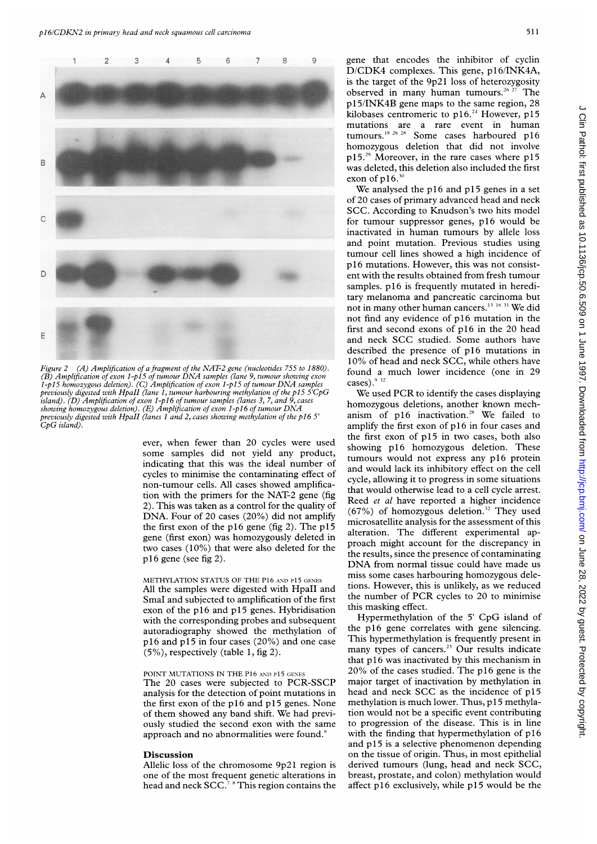



(A) Amplification of a fragment of the NAT-2 gene (nucleotides 755 to 1880). (B) Amplification of exon 1-p15 of tumour DNA samples (lane 9, tumour showing exon found a  $1-p15$  homozygous deletion). (C) Amplification of exon 1-p15 of tumour DNA samples<br>previously digested with HpaII (lane 1, tumour harbouring methylation of the p15 5 CpG We used PCR to identify the cases displaying island). (D) Amplification of exon 1-p16 of tumour samples (lanes 3, 7, and 9, cases homozygous deletions, another known mech-<br>showing homozygous deletion). (E) Amplification of exon 1-p16 of tumour DNA previously digested with HpaII (lanes 1 and 2, cases showing methylation of the p16 5' anism of p16 inactivation.<sup>28</sup> We failed to Figure 2  $CpG$  island).

ever, when fewer than 20 cycles were used ever, when rewer than 20 cycles were used<br>some samples did not yield any product,<br>indicating that this was the ideal number of<br>and multiple in indicating of seal some samples did not yield any product, cycles to minimise the contaminating effect of cycle, allowing it to progress in some situations non-tumour cells. All cases showed amplificafrom tumour cent. An cases showed amplifica-<br>that would otherwise lead to a cell cycle arrest.<br> $R$  and that would otherwise lead to a cell cycle arrest. 2). This was taken as a control for the quality of<br>DNA. Four of 20 cases (20%) did not amplify<br> $(67\%)$  of homozygous deletion.<sup>32</sup> They used<br>the first group of the all forms (6-2). The all<sup>5</sup> the Fir of hesp1 0n (fig n2) Tmh ,lf microsatellite analysis for the assessment of this gene (first exon) was homozygously deleted in alteration. The different experimental ap-<br>proach might account for the discrepancy in two cases  $(10\%)$  that were also deleted for the proach might account for the discrepancy in the results, since the presence of contaminating

## METHYLATION STATUS OF THE PI6 AND PI5 GENES All the samples were digested with HpaII and SmaI and subjected to amplification of the first exon of the p16 and p15 genes. Hybridisation with the corresponding probes and subsequent autoradiography showed the methylation of p16 and p15 in four cases (20%) and one case (5%), respectively (table 1, fig 2).

### POINT MUTATIONS IN THE P16 AND P15 GENES

The 20 cases were subjected to PCR-SSCP analysis for the detection of point mutations in the first exon of the  $p16$  and  $p15$  genes. None of them showed any band shift. We had previously studied the second exon with the same approach and no abnormalities were found.<sup>8</sup>

#### Discussion

Allelic loss of the chromosome 9p2i region is one of the most frequent genetic alterations in head and neck  $SCC<sup>7</sup>$  This region contains the

D/CDK4 complexes. This gene, pl6/INK4A, is the target of the 9p21 loss of heterozygosity observed in many human tumours.<sup>26-27</sup> The<br>p15/INK4B gene maps to the same region, 28<br>kilobases centromeric to p16<sup>-24</sup> However, p15 kilobases centromeric to  $p16.<sup>24</sup>$  However,  $p15$ mutations are <sup>a</sup> rare event in human tumours.<sup>18 26</sup> <sup>28</sup> Some cases harboured p16 homozygous deletion that did not involve p15.<sup>29</sup> Moreover, in the rare cases where p15 was deleted, this deletion also included the first exon of  $p16.^{30}$ 

> We analysed the p16 and p15 genes in <sup>a</sup> set of 20 cases of primary advanced head and neck SCC. According to Knudson's two hits model for tumour suppressor genes, p16 would be inactivated in human tumours by allele loss and point mutation. Previous studies using tumour cell lines showed a high incidence of p16 mutations. However, this was not consist tumour cell lines showed a high incidence of<br>p16 mutations. However, this was not consist-<br>ent with the results obtained from fresh tumour<br>samples. p16 is frequently mutated in heredisamples. p16 is frequently mutated in hereditary melanoma and pancreatic carcinoma but not in many other human cancers.'3 <sup>16</sup> <sup>31</sup> We did not find any evidence of p16 mutation in the first and second exons of p16 in the 20 head and neck SCC studied. Some authors have described the presence of p16 mutations in 10% of head and neck SCC, while others have<br>found a much lower incidence (one in 29

amplify the first exon of p16 in four cases and the first exon of p15 in two cases, both also tumours would not express any p16 protein<br>and would lack its inhibitory effect on the cell p16 gene (see fig 2). the results, since the presence of contaminating properties of contaminating DNA from normal tissue could have made us miss some cases harbouring homozygous deletions. However, this is unlikely, as we reduced the number of PCR cycles to 20 to minimise this masking effect.

> Hypermethylation of the <sup>5</sup>' CpG island of the p16 gene correlates with gene silencing. This hypermethylation is frequently present in many types of cancers.<sup>23</sup> Our results indicate that p16 was inactivated by this mechanism in 20% of the cases studied. The p16 gene is the major target of inactivation by methylation in head and neck SCC as the incidence of p15 methylation is much lower. Thus, p 15 methylation would not be a specific event contributing to progression of the disease. This is in line with the finding that hypermethylation of p16 and p15 is <sup>a</sup> selective phenomenon depending on the tissue of origin. Thus, in most epithelial derived tumours (lung, head and neck SCC, breast, prostate, and colon) methylation would affect p16 exclusively, while p15 would be the